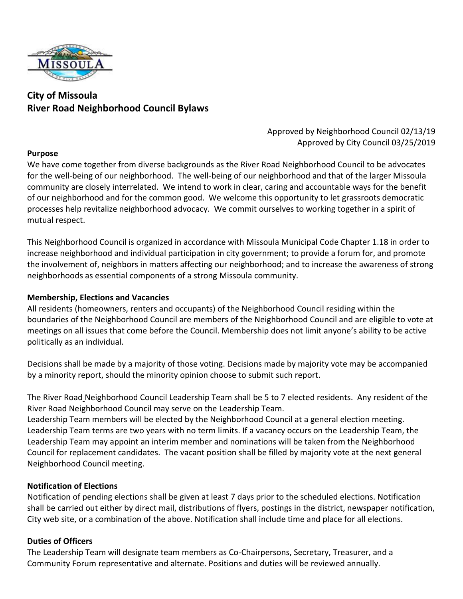

# **City of Missoula River Road Neighborhood Council Bylaws**

## Approved by Neighborhood Council 02/13/19 Approved by City Council 03/25/2019

## **Purpose**

We have come together from diverse backgrounds as the River Road Neighborhood Council to be advocates for the well-being of our neighborhood. The well-being of our neighborhood and that of the larger Missoula community are closely interrelated. We intend to work in clear, caring and accountable ways for the benefit of our neighborhood and for the common good. We welcome this opportunity to let grassroots democratic processes help revitalize neighborhood advocacy. We commit ourselves to working together in a spirit of mutual respect.

This Neighborhood Council is organized in accordance with Missoula Municipal Code Chapter 1.18 in order to increase neighborhood and individual participation in city government; to provide a forum for, and promote the involvement of, neighbors in matters affecting our neighborhood; and to increase the awareness of strong neighborhoods as essential components of a strong Missoula community.

## **Membership, Elections and Vacancies**

All residents (homeowners, renters and occupants) of the Neighborhood Council residing within the boundaries of the Neighborhood Council are members of the Neighborhood Council and are eligible to vote at meetings on all issues that come before the Council. Membership does not limit anyone's ability to be active politically as an individual.

Decisions shall be made by a majority of those voting. Decisions made by majority vote may be accompanied by a minority report, should the minority opinion choose to submit such report.

The River Road Neighborhood Council Leadership Team shall be 5 to 7 elected residents. Any resident of the River Road Neighborhood Council may serve on the Leadership Team.

Leadership Team members will be elected by the Neighborhood Council at a general election meeting. Leadership Team terms are two years with no term limits. If a vacancy occurs on the Leadership Team, the Leadership Team may appoint an interim member and nominations will be taken from the Neighborhood Council for replacement candidates. The vacant position shall be filled by majority vote at the next general Neighborhood Council meeting.

## **Notification of Elections**

Notification of pending elections shall be given at least 7 days prior to the scheduled elections. Notification shall be carried out either by direct mail, distributions of flyers, postings in the district, newspaper notification, City web site, or a combination of the above. Notification shall include time and place for all elections.

## **Duties of Officers**

The Leadership Team will designate team members as Co-Chairpersons, Secretary, Treasurer, and a Community Forum representative and alternate. Positions and duties will be reviewed annually.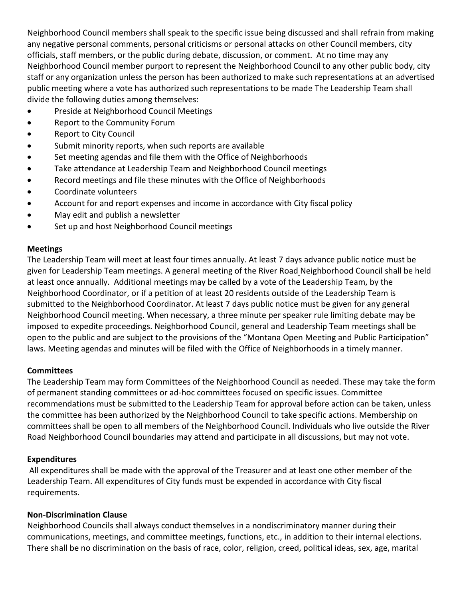Neighborhood Council members shall speak to the specific issue being discussed and shall refrain from making any negative personal comments, personal criticisms or personal attacks on other Council members, city officials, staff members, or the public during debate, discussion, or comment. At no time may any Neighborhood Council member purport to represent the Neighborhood Council to any other public body, city staff or any organization unless the person has been authorized to make such representations at an advertised public meeting where a vote has authorized such representations to be made The Leadership Team shall divide the following duties among themselves:

- Preside at Neighborhood Council Meetings
- Report to the Community Forum
- Report to City Council
- Submit minority reports, when such reports are available
- Set meeting agendas and file them with the Office of Neighborhoods
- Take attendance at Leadership Team and Neighborhood Council meetings
- Record meetings and file these minutes with the Office of Neighborhoods
- Coordinate volunteers
- Account for and report expenses and income in accordance with City fiscal policy
- May edit and publish a newsletter
- Set up and host Neighborhood Council meetings

## **Meetings**

The Leadership Team will meet at least four times annually. At least 7 days advance public notice must be given for Leadership Team meetings. A general meeting of the River Road Neighborhood Council shall be held at least once annually. Additional meetings may be called by a vote of the Leadership Team, by the Neighborhood Coordinator, or if a petition of at least 20 residents outside of the Leadership Team is submitted to the Neighborhood Coordinator. At least 7 days public notice must be given for any general Neighborhood Council meeting. When necessary, a three minute per speaker rule limiting debate may be imposed to expedite proceedings. Neighborhood Council, general and Leadership Team meetings shall be open to the public and are subject to the provisions of the "Montana Open Meeting and Public Participation" laws. Meeting agendas and minutes will be filed with the Office of Neighborhoods in a timely manner.

## **Committees**

The Leadership Team may form Committees of the Neighborhood Council as needed. These may take the form of permanent standing committees or ad-hoc committees focused on specific issues. Committee recommendations must be submitted to the Leadership Team for approval before action can be taken, unless the committee has been authorized by the Neighborhood Council to take specific actions. Membership on committees shall be open to all members of the Neighborhood Council. Individuals who live outside the River Road Neighborhood Council boundaries may attend and participate in all discussions, but may not vote.

## **Expenditures**

All expenditures shall be made with the approval of the Treasurer and at least one other member of the Leadership Team. All expenditures of City funds must be expended in accordance with City fiscal requirements.

#### **Non-Discrimination Clause**

Neighborhood Councils shall always conduct themselves in a nondiscriminatory manner during their communications, meetings, and committee meetings, functions, etc., in addition to their internal elections. There shall be no discrimination on the basis of race, color, religion, creed, political ideas, sex, age, marital